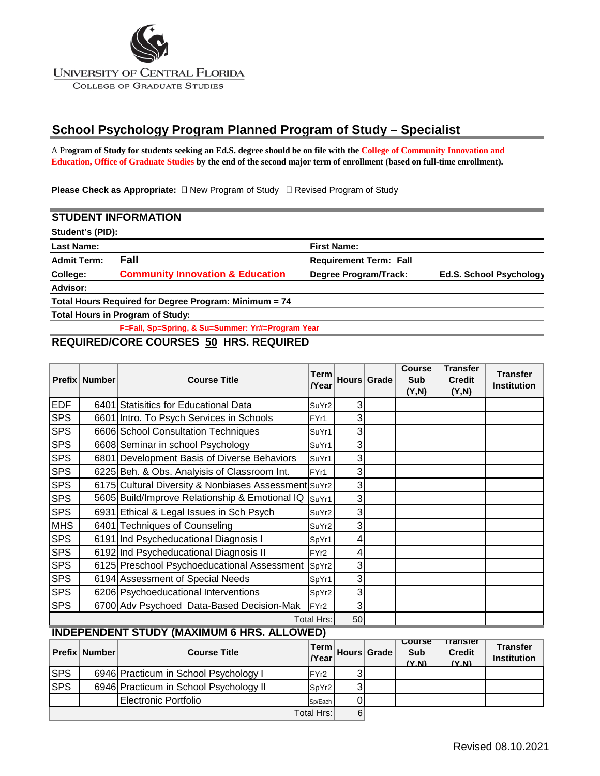

**UNIVERSITY OF CENTRAL FLORIDA** 

**COLLEGE OF GRADUATE STUDIES** 

### **School Psychology Program Planned Program of Study – Specialist**

A Pr**ogram of Study for students seeking an Ed.S. degree should be on file with the College of Community Innovation and Education, Office of Graduate Studies by the end of the second major term of enrollment (based on full-time enrollment).**

**Please Check as Appropriate:** □ New Program of Study □ Revised Program of Study

|                    | <b>STUDENT INFORMATION</b>                              |                               |                                |
|--------------------|---------------------------------------------------------|-------------------------------|--------------------------------|
| Student's (PID):   |                                                         |                               |                                |
| Last Name:         |                                                         | <b>First Name:</b>            |                                |
| <b>Admit Term:</b> | Fall                                                    | <b>Requirement Term: Fall</b> |                                |
| College:           | <b>Community Innovation &amp; Education</b>             | Degree Program/Track:         | <b>Ed.S. School Psychology</b> |
| <b>Advisor:</b>    |                                                         |                               |                                |
|                    | Total Harryo Dominical for Dogram Drogram, Minimum - 74 |                               |                                |

**Total Hours Required for Degree Program: Minimum = 74**

**Total Hours in Program of Study:**

**F=Fall, Sp=Spring, & Su=Summer: Yr#=Program Year**

#### **REQUIRED/CORE COURSES 50 HRS. REQUIRED**

|            | <b>Prefix   Number</b>                            | <b>Course Title</b>                                  | Term<br><b>Near</b>    |   | Hours Grade | <b>Course</b><br>Sub<br>(Y,N) | <b>Transfer</b><br><b>Credit</b><br>(Y,N) | <b>Transfer</b><br>Institution    |
|------------|---------------------------------------------------|------------------------------------------------------|------------------------|---|-------------|-------------------------------|-------------------------------------------|-----------------------------------|
| <b>EDF</b> |                                                   | 6401 Statisitics for Educational Data                | SuYr <sub>2</sub>      | 3 |             |                               |                                           |                                   |
| <b>SPS</b> |                                                   | 6601 Intro. To Psych Services in Schools             | FYr1                   | 3 |             |                               |                                           |                                   |
| <b>SPS</b> |                                                   | 6606 School Consultation Techniques                  | SuYr1                  | 3 |             |                               |                                           |                                   |
| <b>SPS</b> |                                                   | 6608 Seminar in school Psychology                    | SuYr1                  | 3 |             |                               |                                           |                                   |
| <b>SPS</b> |                                                   | 6801 Development Basis of Diverse Behaviors          | SuYr1                  | 3 |             |                               |                                           |                                   |
| <b>SPS</b> |                                                   | 6225 Beh. & Obs. Analyisis of Classroom Int.         | FYr1                   | 3 |             |                               |                                           |                                   |
| <b>SPS</b> |                                                   | 6175 Cultural Diversity & Nonbiases Assessment SuYr2 |                        | 3 |             |                               |                                           |                                   |
| <b>SPS</b> |                                                   | 5605 Build/Improve Relationship & Emotional IQ       | SuYr1                  | 3 |             |                               |                                           |                                   |
| <b>SPS</b> |                                                   | 6931 Ethical & Legal Issues in Sch Psych             | SuYr2                  | 3 |             |                               |                                           |                                   |
| <b>MHS</b> |                                                   | 6401 Techniques of Counseling                        | SuYr2                  | 3 |             |                               |                                           |                                   |
| <b>SPS</b> |                                                   | 6191 Ind Psycheducational Diagnosis I                | SpYr1                  | 4 |             |                               |                                           |                                   |
| <b>SPS</b> |                                                   | 6192 Ind Psycheducational Diagnosis II               | FYr <sub>2</sub>       | 4 |             |                               |                                           |                                   |
| <b>SPS</b> |                                                   | 6125 Preschool Psychoeducational Assessment          | SpYr2                  | 3 |             |                               |                                           |                                   |
| <b>SPS</b> |                                                   | 6194 Assessment of Special Needs                     | SpYr1                  | 3 |             |                               |                                           |                                   |
| <b>SPS</b> |                                                   | 6206 Psychoeducational Interventions                 | SpYr2                  | 3 |             |                               |                                           |                                   |
| <b>SPS</b> |                                                   | 6700 Adv Psychoed Data-Based Decision-Mak            | FYr <sub>2</sub>       | 3 |             |                               |                                           |                                   |
|            | <b>Total Hrs:</b><br>50                           |                                                      |                        |   |             |                               |                                           |                                   |
|            | <b>INDEPENDENT STUDY (MAXIMUM 6 HRS. ALLOWED)</b> |                                                      |                        |   |             |                               |                                           |                                   |
|            | <b>Prefix Number</b>                              | <b>Course Title</b>                                  | Term<br>$N_{\rm{max}}$ |   | Hours Grade | <b>Course</b><br>Sub          | rransfer<br><b>Credit</b>                 | <b>Transfer</b><br>ويمثله يتلثموا |

|            | ∣ Prefix ∣ Number | <b>Course Title</b>                    | <b>Near</b>       |   | $\frac{1}{N}$ Hours Grade | <b>Sub</b><br>(Y N) | <b>Credit</b><br>(Y N) | Transfer<br><b>Institution</b> |
|------------|-------------------|----------------------------------------|-------------------|---|---------------------------|---------------------|------------------------|--------------------------------|
| <b>SPS</b> |                   | 6946 Practicum in School Psychology I  | FYr <sub>2</sub>  |   |                           |                     |                        |                                |
| <b>SPS</b> |                   | 6946 Practicum in School Psychology II | SpYr <sub>2</sub> |   |                           |                     |                        |                                |
|            |                   | Electronic Portfolio                   | Sp/Each           |   |                           |                     |                        |                                |
|            |                   |                                        | Total Hrs:        | 6 |                           |                     |                        |                                |